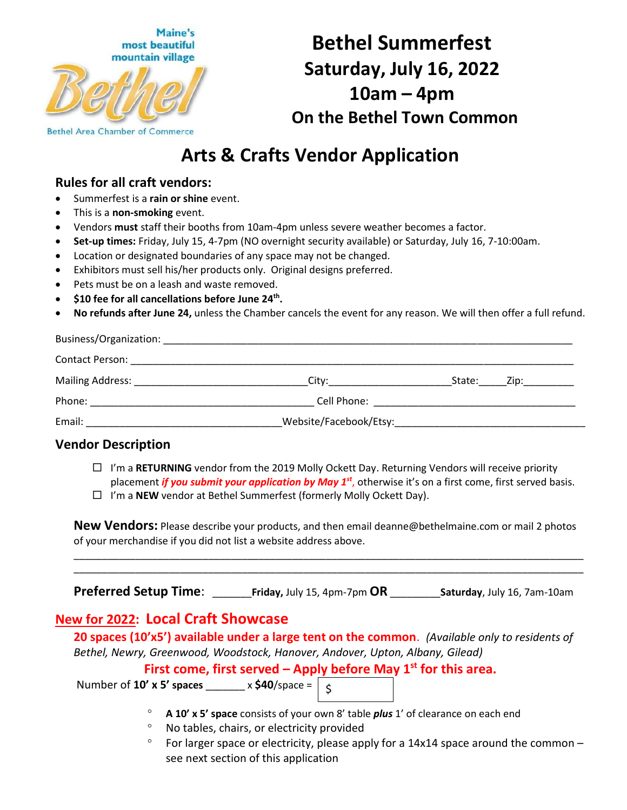

# **Bethel Summerfest Saturday, July 16, 2022 10am – 4pm On the Bethel Town Common**

## **Arts & Crafts Vendor Application**

#### **Rules for all craft vendors:**

- Summerfest is a **rain or shine** event.
- This is a **non-smoking** event.
- Vendors **must** staff their booths from 10am-4pm unless severe weather becomes a factor.
- **Set-up times:** Friday, July 15, 4-7pm (NO overnight security available) or Saturday, July 16, 7-10:00am.
- Location or designated boundaries of any space may not be changed.
- Exhibitors must sell his/her products only. Original designs preferred.
- Pets must be on a leash and waste removed.
- \$10 fee for all cancellations before June 24<sup>th</sup>.
- **No refunds after June 24,** unless the Chamber cancels the event for any reason. We will then offer a full refund.

| <b>Contact Person:</b>            |                                                     |        |                                                                                                                |
|-----------------------------------|-----------------------------------------------------|--------|----------------------------------------------------------------------------------------------------------------|
| Mailing Address: Mailing Address: | Citv:                                               | State: | Zip: will be a series of the series of the series of the series of the series of the series of the series of t |
| Phone:                            | Cell Phone: <u>________________________________</u> |        |                                                                                                                |
| Email:                            | Website/Facebook/Etsy:                              |        |                                                                                                                |

#### **Vendor Description**

- I'm a **RETURNING** vendor from the 2019 Molly Ockett Day. Returning Vendors will receive priority placement *if you submit your application by May 1st* , otherwise it's on a first come, first served basis.
- I'm a **NEW** vendor at Bethel Summerfest (formerly Molly Ockett Day).

**New Vendors:** Please describe your products, and then email deanne@bethelmaine.com or mail 2 photos of your merchandise if you did not list a website address above.

\_\_\_\_\_\_\_\_\_\_\_\_\_\_\_\_\_\_\_\_\_\_\_\_\_\_\_\_\_\_\_\_\_\_\_\_\_\_\_\_\_\_\_\_\_\_\_\_\_\_\_\_\_\_\_\_\_\_\_\_\_\_\_\_\_\_\_\_\_\_\_\_\_\_\_\_\_\_\_\_\_\_\_\_\_\_\_\_\_\_\_ \_\_\_\_\_\_\_\_\_\_\_\_\_\_\_\_\_\_\_\_\_\_\_\_\_\_\_\_\_\_\_\_\_\_\_\_\_\_\_\_\_\_\_\_\_\_\_\_\_\_\_\_\_\_\_\_\_\_\_\_\_\_\_\_\_\_\_\_\_\_\_\_\_\_\_\_\_\_\_\_\_\_\_\_\_\_\_\_\_\_\_

**Preferred Setup Time**: \_\_\_\_\_\_\_**Friday,** July 15, 4pm-7pm **OR** \_\_\_\_\_\_\_\_\_**Saturday**, July 16, 7am-10am

### **New for 2022: Local Craft Showcase**

**20 spaces (10'x5') available under a large tent on the common**. *(Available only to residents of Bethel, Newry, Greenwood, Woodstock, Hanover, Andover, Upton, Albany, Gilead)*

#### **First come, first served – Apply before May 1st for this area.**

Number of **10' x 5' spaces** \_\_\_\_\_\_\_ x **\$40**/space = \$

- **A 10' x 5' space** consists of your own 8' table *plus* 1' of clearance on each end
- No tables, chairs, or electricity provided
- $\degree$  For larger space or electricity, please apply for a 14x14 space around the common see next section of this application